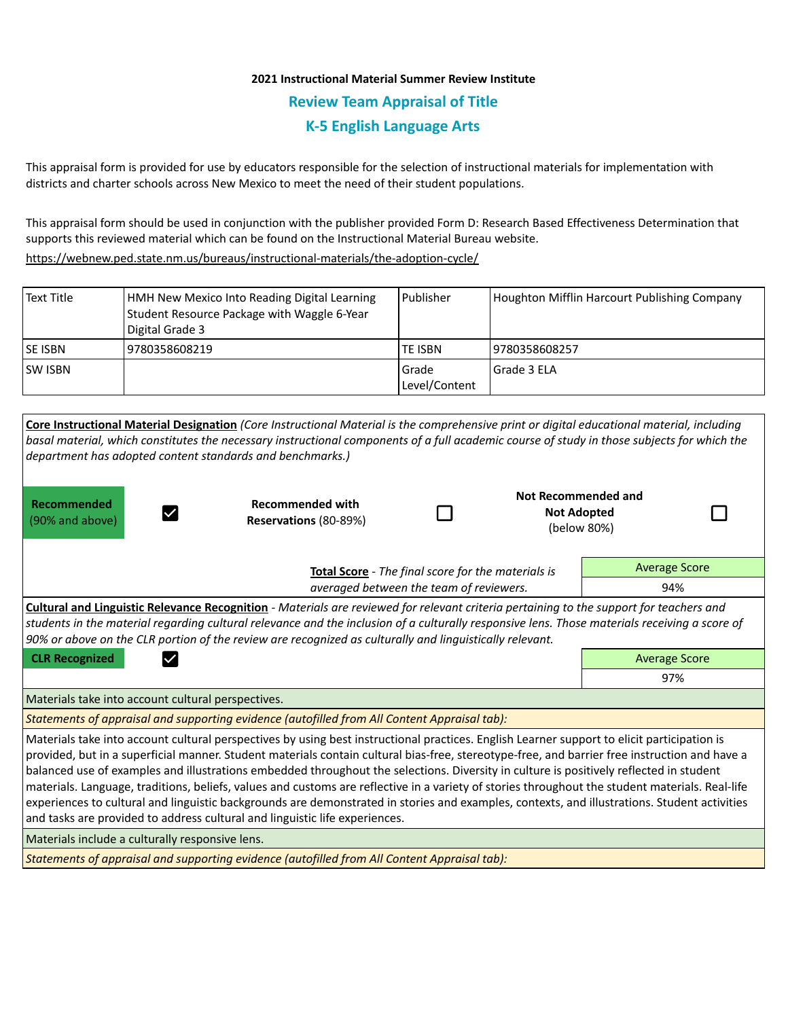## **2021 Instructional Material Summer Review Institute Review Team Appraisal of Title K-5 English Language Arts**

This appraisal form is provided for use by educators responsible for the selection of instructional materials for implementation with districts and charter schools across New Mexico to meet the need of their student populations.

This appraisal form should be used in conjunction with the publisher provided Form D: Research Based Effectiveness Determination that supports this reviewed material which can be found on the Instructional Material Bureau website.

<https://webnew.ped.state.nm.us/bureaus/instructional-materials/the-adoption-cycle/>

| Text Title      | HMH New Mexico Into Reading Digital Learning<br>Student Resource Package with Waggle 6-Year<br>Digital Grade 3 | l Publisher              | Houghton Mifflin Harcourt Publishing Company |
|-----------------|----------------------------------------------------------------------------------------------------------------|--------------------------|----------------------------------------------|
| <b>ISE ISBN</b> | 9780358608219                                                                                                  | TE ISBN                  | 19780358608257                               |
| <b>SW ISBN</b>  |                                                                                                                | l Grade<br>Level/Content | l Grade 3 ELA                                |

| Core Instructional Material Designation (Core Instructional Material is the comprehensive print or digital educational material, including<br>basal material, which constitutes the necessary instructional components of a full academic course of study in those subjects for which the<br>department has adopted content standards and benchmarks.)                                                                                                                                                                                                                                                                                                                                                                                                                                                                   |                                                  |  |                                                          |     |  |  |  |  |  |
|--------------------------------------------------------------------------------------------------------------------------------------------------------------------------------------------------------------------------------------------------------------------------------------------------------------------------------------------------------------------------------------------------------------------------------------------------------------------------------------------------------------------------------------------------------------------------------------------------------------------------------------------------------------------------------------------------------------------------------------------------------------------------------------------------------------------------|--------------------------------------------------|--|----------------------------------------------------------|-----|--|--|--|--|--|
| <b>Recommended</b><br>(90% and above)                                                                                                                                                                                                                                                                                                                                                                                                                                                                                                                                                                                                                                                                                                                                                                                    | <b>Recommended with</b><br>Reservations (80-89%) |  | Not Recommended and<br><b>Not Adopted</b><br>(below 80%) |     |  |  |  |  |  |
| Total Score - The final score for the materials is<br>averaged between the team of reviewers.                                                                                                                                                                                                                                                                                                                                                                                                                                                                                                                                                                                                                                                                                                                            |                                                  |  | <b>Average Score</b>                                     |     |  |  |  |  |  |
|                                                                                                                                                                                                                                                                                                                                                                                                                                                                                                                                                                                                                                                                                                                                                                                                                          |                                                  |  | 94%                                                      |     |  |  |  |  |  |
| <b>Cultural and Linguistic Relevance Recognition</b> - Materials are reviewed for relevant criteria pertaining to the support for teachers and<br>students in the material regarding cultural relevance and the inclusion of a culturally responsive lens. Those materials receiving a score of<br>90% or above on the CLR portion of the review are recognized as culturally and linguistically relevant.                                                                                                                                                                                                                                                                                                                                                                                                               |                                                  |  |                                                          |     |  |  |  |  |  |
| <b>CLR Recognized</b>                                                                                                                                                                                                                                                                                                                                                                                                                                                                                                                                                                                                                                                                                                                                                                                                    | <b>Average Score</b>                             |  |                                                          |     |  |  |  |  |  |
|                                                                                                                                                                                                                                                                                                                                                                                                                                                                                                                                                                                                                                                                                                                                                                                                                          |                                                  |  |                                                          | 97% |  |  |  |  |  |
| Materials take into account cultural perspectives.                                                                                                                                                                                                                                                                                                                                                                                                                                                                                                                                                                                                                                                                                                                                                                       |                                                  |  |                                                          |     |  |  |  |  |  |
| Statements of appraisal and supporting evidence (autofilled from All Content Appraisal tab):                                                                                                                                                                                                                                                                                                                                                                                                                                                                                                                                                                                                                                                                                                                             |                                                  |  |                                                          |     |  |  |  |  |  |
| Materials take into account cultural perspectives by using best instructional practices. English Learner support to elicit participation is<br>provided, but in a superficial manner. Student materials contain cultural bias-free, stereotype-free, and barrier free instruction and have a<br>balanced use of examples and illustrations embedded throughout the selections. Diversity in culture is positively reflected in student<br>materials. Language, traditions, beliefs, values and customs are reflective in a variety of stories throughout the student materials. Real-life<br>experiences to cultural and linguistic backgrounds are demonstrated in stories and examples, contexts, and illustrations. Student activities<br>and tasks are provided to address cultural and linguistic life experiences. |                                                  |  |                                                          |     |  |  |  |  |  |
| Materials include a culturally responsive lens.                                                                                                                                                                                                                                                                                                                                                                                                                                                                                                                                                                                                                                                                                                                                                                          |                                                  |  |                                                          |     |  |  |  |  |  |
| Statements of approvisel and supporting ouidance (qutofilled from All Centent Approvisel tab),                                                                                                                                                                                                                                                                                                                                                                                                                                                                                                                                                                                                                                                                                                                           |                                                  |  |                                                          |     |  |  |  |  |  |

*Statements of appraisal and supporting evidence (autofilled from All Content Appraisal tab):*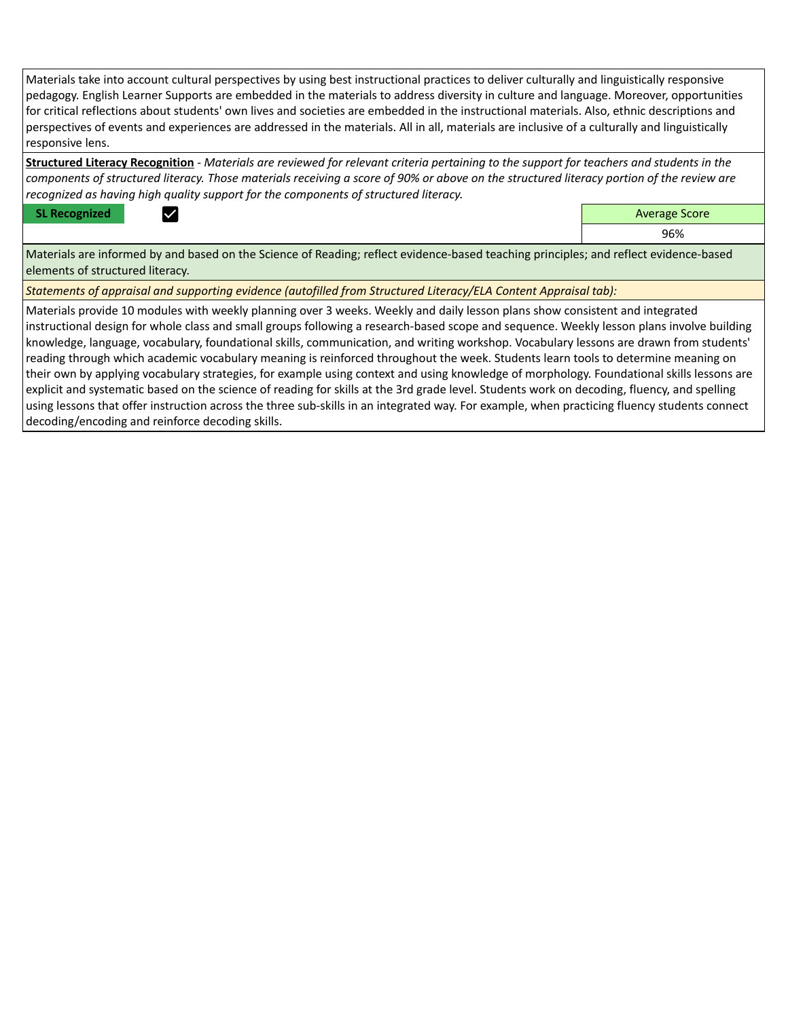Materials take into account cultural perspectives by using best instructional practices to deliver culturally and linguistically responsive pedagogy. English Learner Supports are embedded in the materials to address diversity in culture and language. Moreover, opportunities for critical reflections about students' own lives and societies are embedded in the instructional materials. Also, ethnic descriptions and perspectives of events and experiences are addressed in the materials. All in all, materials are inclusive of a culturally and linguistically responsive lens.

**Structured Literacy Recognition** - *Materials are reviewed for relevant criteria pertaining to the support for teachers and students in the components of structured literacy. Those materials receiving a score of 90% or above on the structured literacy portion of the review are recognized as having high quality support for the components of structured literacy.*

**SL Recognized Average Score** Average Score and Average Score and Average Score and Average Score and Average Score

96%

Materials are informed by and based on the Science of Reading; reflect evidence-based teaching principles; and reflect evidence-based elements of structured literacy.

*Statements of appraisal and supporting evidence (autofilled from Structured Literacy/ELA Content Appraisal tab):* 

Materials provide 10 modules with weekly planning over 3 weeks. Weekly and daily lesson plans show consistent and integrated instructional design for whole class and small groups following a research-based scope and sequence. Weekly lesson plans involve building knowledge, language, vocabulary, foundational skills, communication, and writing workshop. Vocabulary lessons are drawn from students' reading through which academic vocabulary meaning is reinforced throughout the week. Students learn tools to determine meaning on their own by applying vocabulary strategies, for example using context and using knowledge of morphology. Foundational skills lessons are explicit and systematic based on the science of reading for skills at the 3rd grade level. Students work on decoding, fluency, and spelling using lessons that offer instruction across the three sub-skills in an integrated way. For example, when practicing fluency students connect decoding/encoding and reinforce decoding skills.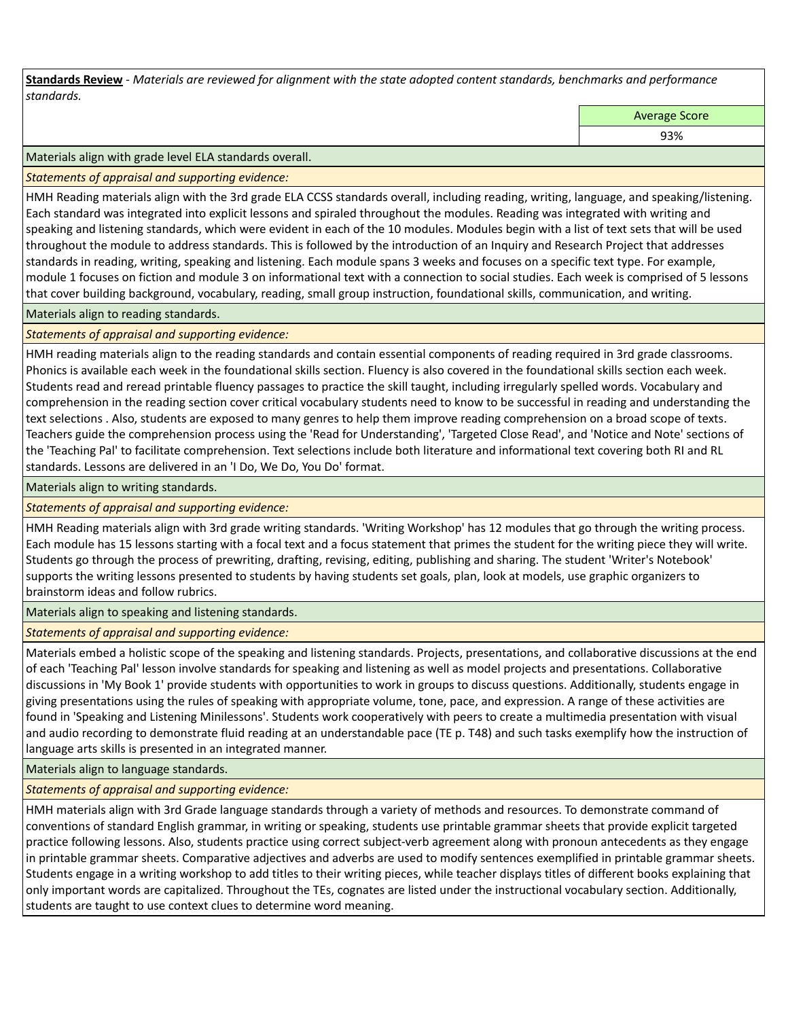**Standards Review** *- Materials are reviewed for alignment with the state adopted content standards, benchmarks and performance standards.*

Average Score

93%

Materials align with grade level ELA standards overall.

*Statements of appraisal and supporting evidence:* 

HMH Reading materials align with the 3rd grade ELA CCSS standards overall, including reading, writing, language, and speaking/listening. Each standard was integrated into explicit lessons and spiraled throughout the modules. Reading was integrated with writing and speaking and listening standards, which were evident in each of the 10 modules. Modules begin with a list of text sets that will be used throughout the module to address standards. This is followed by the introduction of an Inquiry and Research Project that addresses standards in reading, writing, speaking and listening. Each module spans 3 weeks and focuses on a specific text type. For example, module 1 focuses on fiction and module 3 on informational text with a connection to social studies. Each week is comprised of 5 lessons that cover building background, vocabulary, reading, small group instruction, foundational skills, communication, and writing.

Materials align to reading standards.

*Statements of appraisal and supporting evidence:* 

HMH reading materials align to the reading standards and contain essential components of reading required in 3rd grade classrooms. Phonics is available each week in the foundational skills section. Fluency is also covered in the foundational skills section each week. Students read and reread printable fluency passages to practice the skill taught, including irregularly spelled words. Vocabulary and comprehension in the reading section cover critical vocabulary students need to know to be successful in reading and understanding the text selections . Also, students are exposed to many genres to help them improve reading comprehension on a broad scope of texts. Teachers guide the comprehension process using the 'Read for Understanding', 'Targeted Close Read', and 'Notice and Note' sections of the 'Teaching Pal' to facilitate comprehension. Text selections include both literature and informational text covering both RI and RL standards. Lessons are delivered in an 'I Do, We Do, You Do' format.

Materials align to writing standards.

*Statements of appraisal and supporting evidence:* 

HMH Reading materials align with 3rd grade writing standards. 'Writing Workshop' has 12 modules that go through the writing process. Each module has 15 lessons starting with a focal text and a focus statement that primes the student for the writing piece they will write. Students go through the process of prewriting, drafting, revising, editing, publishing and sharing. The student 'Writer's Notebook' supports the writing lessons presented to students by having students set goals, plan, look at models, use graphic organizers to brainstorm ideas and follow rubrics.

Materials align to speaking and listening standards.

*Statements of appraisal and supporting evidence:* 

Materials embed a holistic scope of the speaking and listening standards. Projects, presentations, and collaborative discussions at the end of each 'Teaching Pal' lesson involve standards for speaking and listening as well as model projects and presentations. Collaborative discussions in 'My Book 1' provide students with opportunities to work in groups to discuss questions. Additionally, students engage in giving presentations using the rules of speaking with appropriate volume, tone, pace, and expression. A range of these activities are found in 'Speaking and Listening Minilessons'. Students work cooperatively with peers to create a multimedia presentation with visual and audio recording to demonstrate fluid reading at an understandable pace (TE p. T48) and such tasks exemplify how the instruction of language arts skills is presented in an integrated manner.

Materials align to language standards.

*Statements of appraisal and supporting evidence:* 

HMH materials align with 3rd Grade language standards through a variety of methods and resources. To demonstrate command of conventions of standard English grammar, in writing or speaking, students use printable grammar sheets that provide explicit targeted practice following lessons. Also, students practice using correct subject-verb agreement along with pronoun antecedents as they engage in printable grammar sheets. Comparative adjectives and adverbs are used to modify sentences exemplified in printable grammar sheets. Students engage in a writing workshop to add titles to their writing pieces, while teacher displays titles of different books explaining that only important words are capitalized. Throughout the TEs, cognates are listed under the instructional vocabulary section. Additionally, students are taught to use context clues to determine word meaning.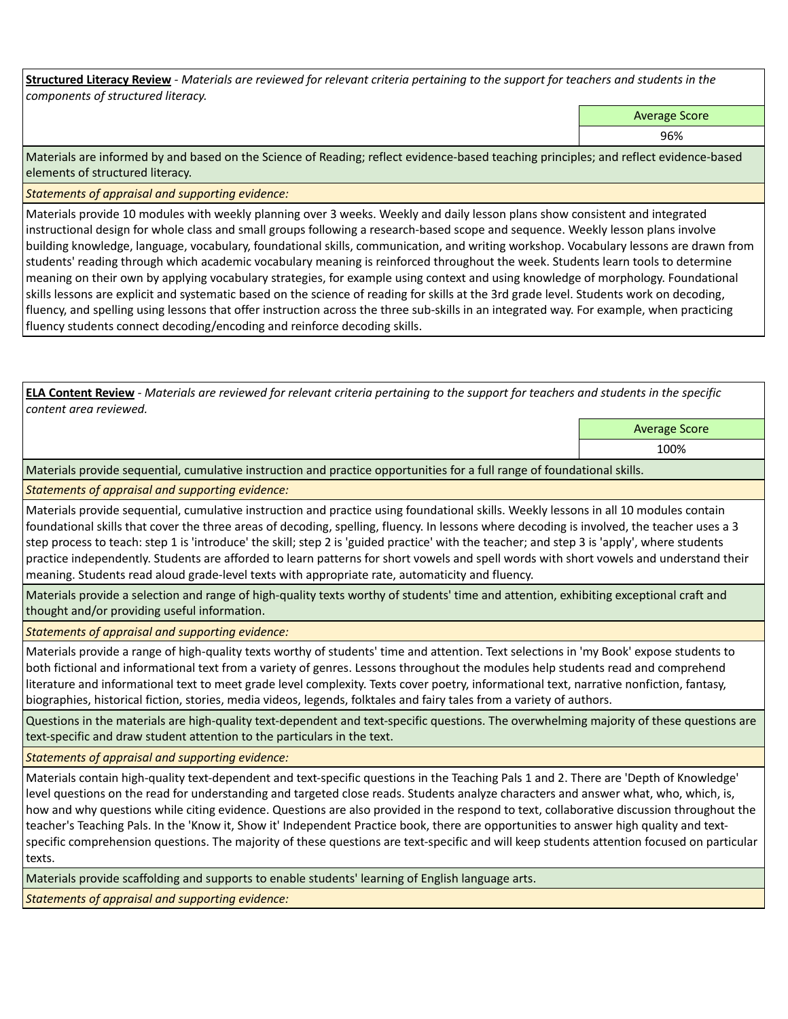**Structured Literacy Review** *- Materials are reviewed for relevant criteria pertaining to the support for teachers and students in the components of structured literacy.*

Average Score

96%

Materials are informed by and based on the Science of Reading; reflect evidence-based teaching principles; and reflect evidence-based elements of structured literacy.

*Statements of appraisal and supporting evidence:*

Materials provide 10 modules with weekly planning over 3 weeks. Weekly and daily lesson plans show consistent and integrated instructional design for whole class and small groups following a research-based scope and sequence. Weekly lesson plans involve building knowledge, language, vocabulary, foundational skills, communication, and writing workshop. Vocabulary lessons are drawn from students' reading through which academic vocabulary meaning is reinforced throughout the week. Students learn tools to determine meaning on their own by applying vocabulary strategies, for example using context and using knowledge of morphology. Foundational skills lessons are explicit and systematic based on the science of reading for skills at the 3rd grade level. Students work on decoding, fluency, and spelling using lessons that offer instruction across the three sub-skills in an integrated way. For example, when practicing fluency students connect decoding/encoding and reinforce decoding skills.

**ELA Content Review** *- Materials are reviewed for relevant criteria pertaining to the support for teachers and students in the specific content area reviewed.*

Average Score

100%

Materials provide sequential, cumulative instruction and practice opportunities for a full range of foundational skills.

*Statements of appraisal and supporting evidence:* 

Materials provide sequential, cumulative instruction and practice using foundational skills. Weekly lessons in all 10 modules contain foundational skills that cover the three areas of decoding, spelling, fluency. In lessons where decoding is involved, the teacher uses a 3 step process to teach: step 1 is 'introduce' the skill; step 2 is 'guided practice' with the teacher; and step 3 is 'apply', where students practice independently. Students are afforded to learn patterns for short vowels and spell words with short vowels and understand their meaning. Students read aloud grade-level texts with appropriate rate, automaticity and fluency.

Materials provide a selection and range of high-quality texts worthy of students' time and attention, exhibiting exceptional craft and thought and/or providing useful information.

*Statements of appraisal and supporting evidence:* 

Materials provide a range of high-quality texts worthy of students' time and attention. Text selections in 'my Book' expose students to both fictional and informational text from a variety of genres. Lessons throughout the modules help students read and comprehend literature and informational text to meet grade level complexity. Texts cover poetry, informational text, narrative nonfiction, fantasy, biographies, historical fiction, stories, media videos, legends, folktales and fairy tales from a variety of authors.

Questions in the materials are high-quality text-dependent and text-specific questions. The overwhelming majority of these questions are text-specific and draw student attention to the particulars in the text.

*Statements of appraisal and supporting evidence:* 

Materials contain high-quality text-dependent and text-specific questions in the Teaching Pals 1 and 2. There are 'Depth of Knowledge' level questions on the read for understanding and targeted close reads. Students analyze characters and answer what, who, which, is, how and why questions while citing evidence. Questions are also provided in the respond to text, collaborative discussion throughout the teacher's Teaching Pals. In the 'Know it, Show it' Independent Practice book, there are opportunities to answer high quality and textspecific comprehension questions. The majority of these questions are text-specific and will keep students attention focused on particular texts.

Materials provide scaffolding and supports to enable students' learning of English language arts.

*Statements of appraisal and supporting evidence:*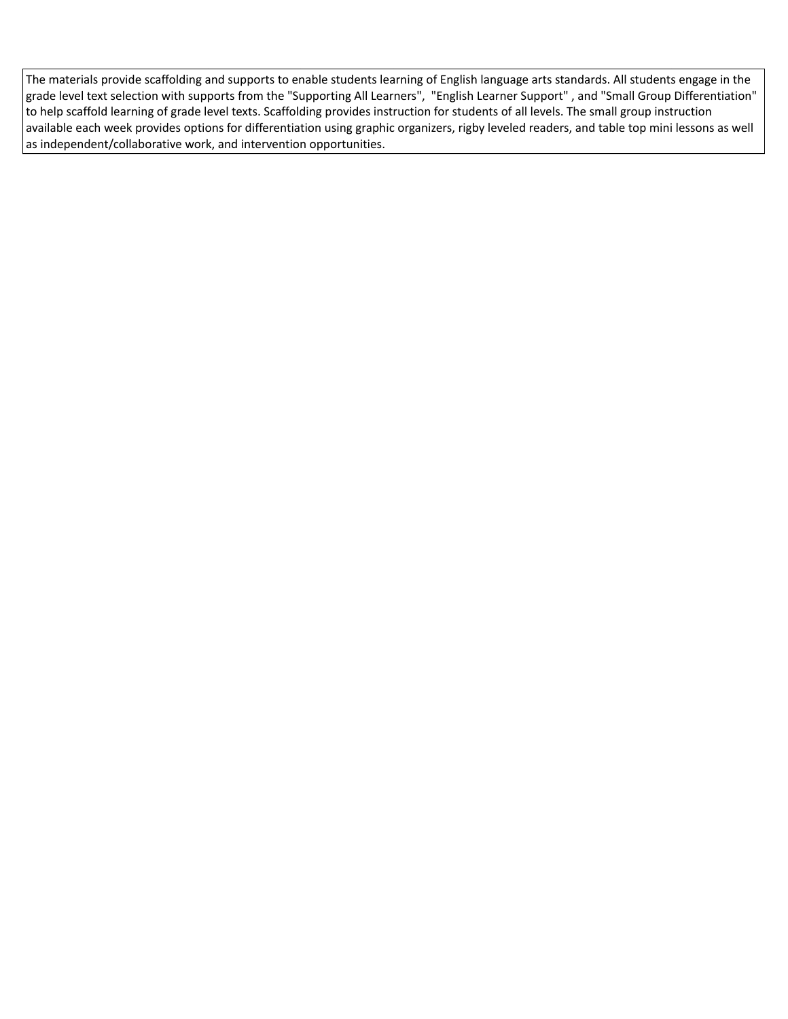The materials provide scaffolding and supports to enable students learning of English language arts standards. All students engage in the grade level text selection with supports from the "Supporting All Learners", "English Learner Support" , and "Small Group Differentiation" to help scaffold learning of grade level texts. Scaffolding provides instruction for students of all levels. The small group instruction available each week provides options for differentiation using graphic organizers, rigby leveled readers, and table top mini lessons as well as independent/collaborative work, and intervention opportunities.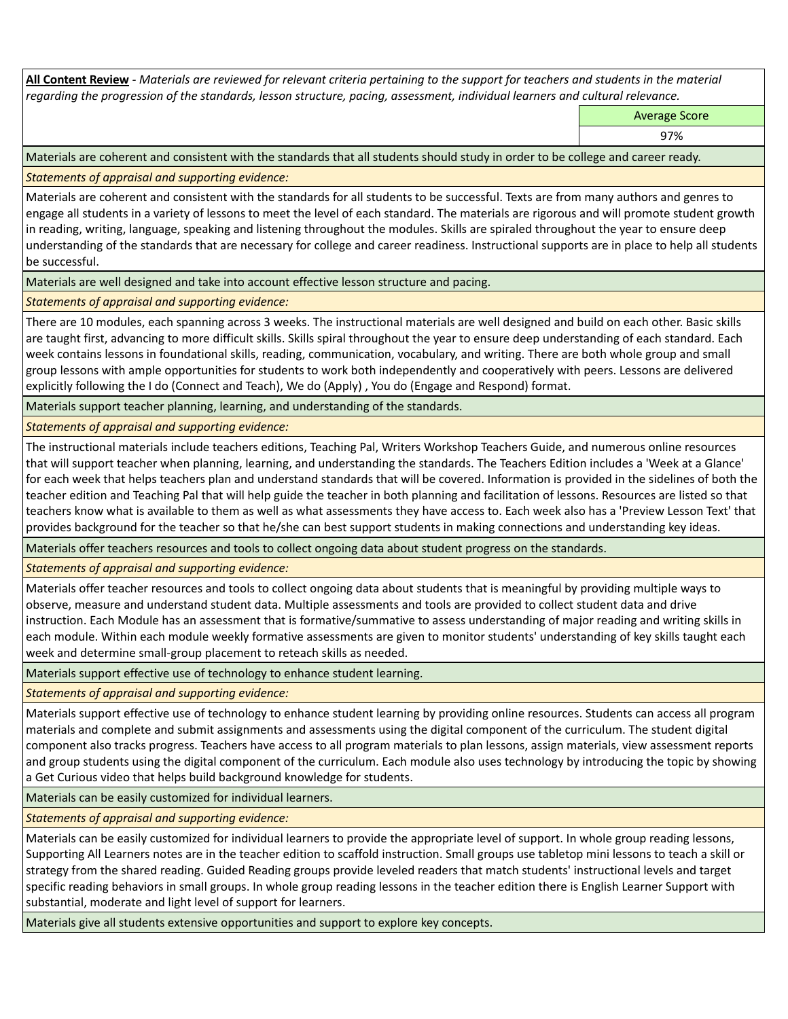**All Content Review** *- Materials are reviewed for relevant criteria pertaining to the support for teachers and students in the material regarding the progression of the standards, lesson structure, pacing, assessment, individual learners and cultural relevance.*

Average Score

97%

Materials are coherent and consistent with the standards that all students should study in order to be college and career ready.

*Statements of appraisal and supporting evidence:*

Materials are coherent and consistent with the standards for all students to be successful. Texts are from many authors and genres to engage all students in a variety of lessons to meet the level of each standard. The materials are rigorous and will promote student growth in reading, writing, language, speaking and listening throughout the modules. Skills are spiraled throughout the year to ensure deep understanding of the standards that are necessary for college and career readiness. Instructional supports are in place to help all students be successful.

Materials are well designed and take into account effective lesson structure and pacing.

*Statements of appraisal and supporting evidence:*

There are 10 modules, each spanning across 3 weeks. The instructional materials are well designed and build on each other. Basic skills are taught first, advancing to more difficult skills. Skills spiral throughout the year to ensure deep understanding of each standard. Each week contains lessons in foundational skills, reading, communication, vocabulary, and writing. There are both whole group and small group lessons with ample opportunities for students to work both independently and cooperatively with peers. Lessons are delivered explicitly following the I do (Connect and Teach), We do (Apply) , You do (Engage and Respond) format.

Materials support teacher planning, learning, and understanding of the standards.

*Statements of appraisal and supporting evidence:*

The instructional materials include teachers editions, Teaching Pal, Writers Workshop Teachers Guide, and numerous online resources that will support teacher when planning, learning, and understanding the standards. The Teachers Edition includes a 'Week at a Glance' for each week that helps teachers plan and understand standards that will be covered. Information is provided in the sidelines of both the teacher edition and Teaching Pal that will help guide the teacher in both planning and facilitation of lessons. Resources are listed so that teachers know what is available to them as well as what assessments they have access to. Each week also has a 'Preview Lesson Text' that provides background for the teacher so that he/she can best support students in making connections and understanding key ideas.

Materials offer teachers resources and tools to collect ongoing data about student progress on the standards.

*Statements of appraisal and supporting evidence:*

Materials offer teacher resources and tools to collect ongoing data about students that is meaningful by providing multiple ways to observe, measure and understand student data. Multiple assessments and tools are provided to collect student data and drive instruction. Each Module has an assessment that is formative/summative to assess understanding of major reading and writing skills in each module. Within each module weekly formative assessments are given to monitor students' understanding of key skills taught each week and determine small-group placement to reteach skills as needed.

Materials support effective use of technology to enhance student learning.

*Statements of appraisal and supporting evidence:*

Materials support effective use of technology to enhance student learning by providing online resources. Students can access all program materials and complete and submit assignments and assessments using the digital component of the curriculum. The student digital component also tracks progress. Teachers have access to all program materials to plan lessons, assign materials, view assessment reports and group students using the digital component of the curriculum. Each module also uses technology by introducing the topic by showing a Get Curious video that helps build background knowledge for students.

Materials can be easily customized for individual learners.

*Statements of appraisal and supporting evidence:* 

Materials can be easily customized for individual learners to provide the appropriate level of support. In whole group reading lessons, Supporting All Learners notes are in the teacher edition to scaffold instruction. Small groups use tabletop mini lessons to teach a skill or strategy from the shared reading. Guided Reading groups provide leveled readers that match students' instructional levels and target specific reading behaviors in small groups. In whole group reading lessons in the teacher edition there is English Learner Support with substantial, moderate and light level of support for learners.

Materials give all students extensive opportunities and support to explore key concepts.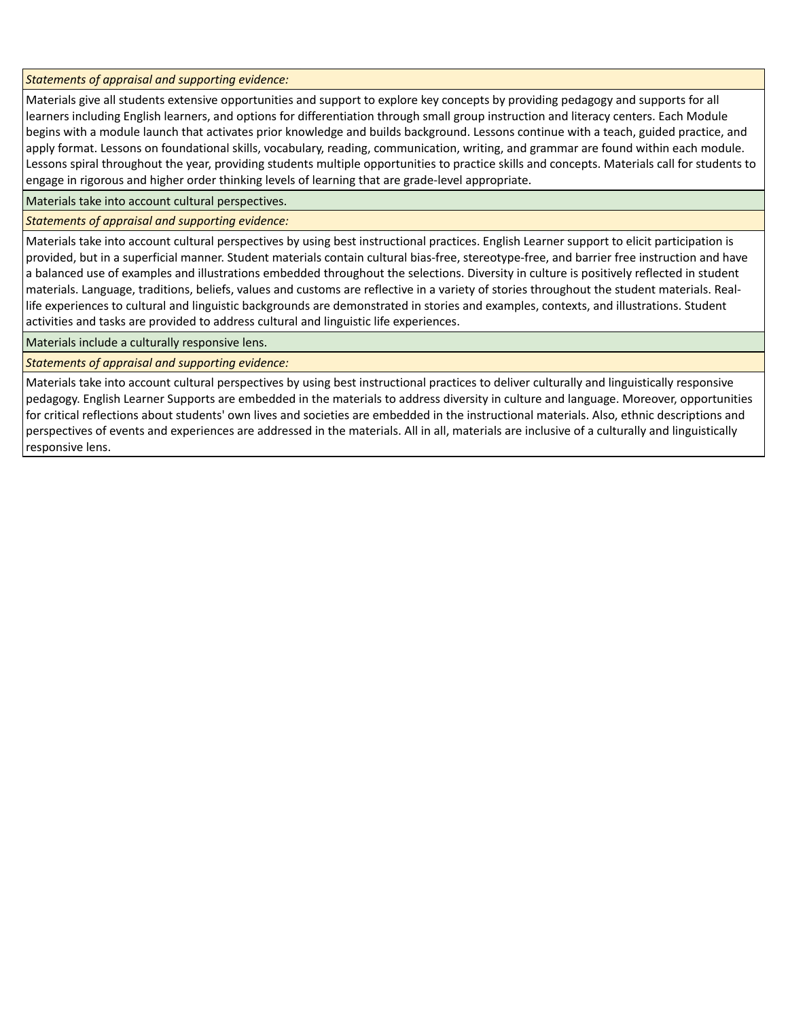*Statements of appraisal and supporting evidence:*

Materials give all students extensive opportunities and support to explore key concepts by providing pedagogy and supports for all learners including English learners, and options for differentiation through small group instruction and literacy centers. Each Module begins with a module launch that activates prior knowledge and builds background. Lessons continue with a teach, guided practice, and apply format. Lessons on foundational skills, vocabulary, reading, communication, writing, and grammar are found within each module. Lessons spiral throughout the year, providing students multiple opportunities to practice skills and concepts. Materials call for students to engage in rigorous and higher order thinking levels of learning that are grade-level appropriate.

Materials take into account cultural perspectives.

*Statements of appraisal and supporting evidence:*

Materials take into account cultural perspectives by using best instructional practices. English Learner support to elicit participation is provided, but in a superficial manner. Student materials contain cultural bias-free, stereotype-free, and barrier free instruction and have a balanced use of examples and illustrations embedded throughout the selections. Diversity in culture is positively reflected in student materials. Language, traditions, beliefs, values and customs are reflective in a variety of stories throughout the student materials. Reallife experiences to cultural and linguistic backgrounds are demonstrated in stories and examples, contexts, and illustrations. Student activities and tasks are provided to address cultural and linguistic life experiences.

Materials include a culturally responsive lens.

*Statements of appraisal and supporting evidence:*

Materials take into account cultural perspectives by using best instructional practices to deliver culturally and linguistically responsive pedagogy. English Learner Supports are embedded in the materials to address diversity in culture and language. Moreover, opportunities for critical reflections about students' own lives and societies are embedded in the instructional materials. Also, ethnic descriptions and perspectives of events and experiences are addressed in the materials. All in all, materials are inclusive of a culturally and linguistically responsive lens.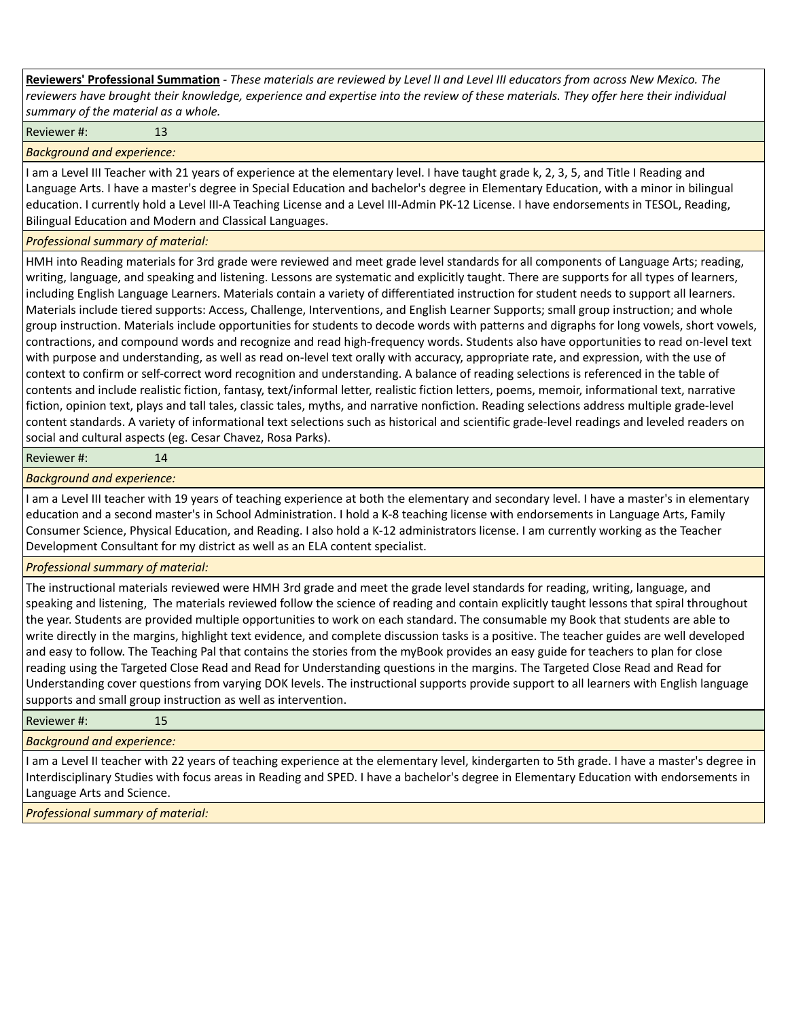**Reviewers' Professional Summation** *- These materials are reviewed by Level II and Level III educators from across New Mexico. The reviewers have brought their knowledge, experience and expertise into the review of these materials. They offer here their individual summary of the material as a whole.*

Reviewer #: 13

*Background and experience:*

I am a Level III Teacher with 21 years of experience at the elementary level. I have taught grade k, 2, 3, 5, and Title I Reading and Language Arts. I have a master's degree in Special Education and bachelor's degree in Elementary Education, with a minor in bilingual education. I currently hold a Level III-A Teaching License and a Level III-Admin PK-12 License. I have endorsements in TESOL, Reading, Bilingual Education and Modern and Classical Languages.

## *Professional summary of material:*

HMH into Reading materials for 3rd grade were reviewed and meet grade level standards for all components of Language Arts; reading, writing, language, and speaking and listening. Lessons are systematic and explicitly taught. There are supports for all types of learners, including English Language Learners. Materials contain a variety of differentiated instruction for student needs to support all learners. Materials include tiered supports: Access, Challenge, Interventions, and English Learner Supports; small group instruction; and whole group instruction. Materials include opportunities for students to decode words with patterns and digraphs for long vowels, short vowels, contractions, and compound words and recognize and read high-frequency words. Students also have opportunities to read on-level text with purpose and understanding, as well as read on-level text orally with accuracy, appropriate rate, and expression, with the use of context to confirm or self-correct word recognition and understanding. A balance of reading selections is referenced in the table of contents and include realistic fiction, fantasy, text/informal letter, realistic fiction letters, poems, memoir, informational text, narrative fiction, opinion text, plays and tall tales, classic tales, myths, and narrative nonfiction. Reading selections address multiple grade-level content standards. A variety of informational text selections such as historical and scientific grade-level readings and leveled readers on social and cultural aspects (eg. Cesar Chavez, Rosa Parks).

## Reviewer #: 14

*Background and experience:*

I am a Level III teacher with 19 years of teaching experience at both the elementary and secondary level. I have a master's in elementary education and a second master's in School Administration. I hold a K-8 teaching license with endorsements in Language Arts, Family Consumer Science, Physical Education, and Reading. I also hold a K-12 administrators license. I am currently working as the Teacher Development Consultant for my district as well as an ELA content specialist.

*Professional summary of material:*

The instructional materials reviewed were HMH 3rd grade and meet the grade level standards for reading, writing, language, and speaking and listening, The materials reviewed follow the science of reading and contain explicitly taught lessons that spiral throughout the year. Students are provided multiple opportunities to work on each standard. The consumable my Book that students are able to write directly in the margins, highlight text evidence, and complete discussion tasks is a positive. The teacher guides are well developed and easy to follow. The Teaching Pal that contains the stories from the myBook provides an easy guide for teachers to plan for close reading using the Targeted Close Read and Read for Understanding questions in the margins. The Targeted Close Read and Read for Understanding cover questions from varying DOK levels. The instructional supports provide support to all learners with English language supports and small group instruction as well as intervention.

Reviewer #: 15

*Background and experience:*

I am a Level II teacher with 22 years of teaching experience at the elementary level, kindergarten to 5th grade. I have a master's degree in Interdisciplinary Studies with focus areas in Reading and SPED. I have a bachelor's degree in Elementary Education with endorsements in Language Arts and Science.

*Professional summary of material:*